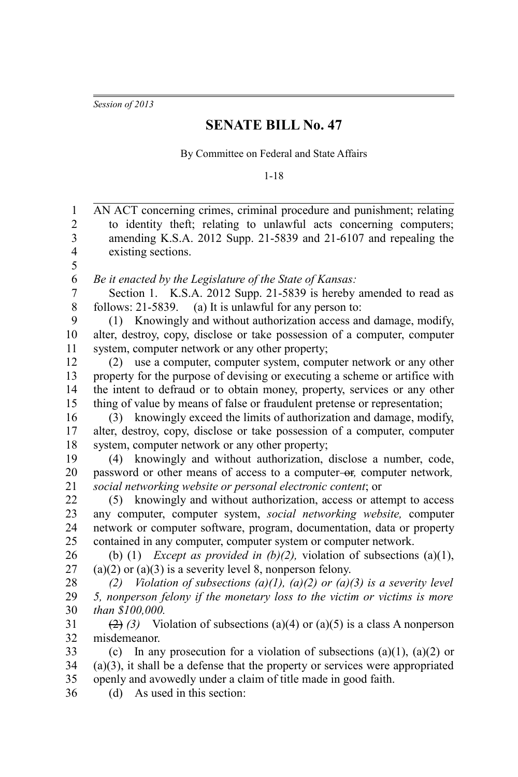*Session of 2013*

## **SENATE BILL No. 47**

By Committee on Federal and State Affairs

1-18

| 1              | AN ACT concerning crimes, criminal procedure and punishment; relating                           |
|----------------|-------------------------------------------------------------------------------------------------|
| $\overline{2}$ | to identity theft; relating to unlawful acts concerning computers;                              |
| 3              | amending K.S.A. 2012 Supp. 21-5839 and 21-6107 and repealing the                                |
| 4              | existing sections.                                                                              |
| 5              |                                                                                                 |
| 6              | Be it enacted by the Legislature of the State of Kansas:                                        |
| 7              | Section 1. K.S.A. 2012 Supp. 21-5839 is hereby amended to read as                               |
| 8              | follows: $21-5839$ . (a) It is unlawful for any person to:                                      |
| 9              | (1) Knowingly and without authorization access and damage, modify,                              |
| 10             | alter, destroy, copy, disclose or take possession of a computer, computer                       |
| 11             | system, computer network or any other property;                                                 |
| 12             | (2) use a computer, computer system, computer network or any other                              |
| 13             | property for the purpose of devising or executing a scheme or artifice with                     |
| 14             | the intent to defraud or to obtain money, property, services or any other                       |
| 15             | thing of value by means of false or fraudulent pretense or representation;                      |
| 16             | (3) knowingly exceed the limits of authorization and damage, modify,                            |
| 17             | alter, destroy, copy, disclose or take possession of a computer, computer                       |
| 18             | system, computer network or any other property;                                                 |
| 19             | knowingly and without authorization, disclose a number, code,<br>(4)                            |
| 20             | password or other means of access to a computer-or, computer network,                           |
| 21             | social networking website or personal electronic content; or                                    |
| 22             | knowingly and without authorization, access or attempt to access<br>(5)                         |
| 23             | any computer, computer system, social networking website, computer                              |
| 24             | network or computer software, program, documentation, data or property                          |
| 25             | contained in any computer, computer system or computer network.                                 |
| 26             | (b) (1) <i>Except as provided in (b)(2)</i> , violation of subsections (a)(1),                  |
| 27             | $(a)(2)$ or $(a)(3)$ is a severity level 8, nonperson felony.                                   |
| 28             | Violation of subsections (a)(1), (a)(2) or (a)(3) is a severity level<br>(2)                    |
| 29             | 5, nonperson felony if the monetary loss to the victim or victims is more                       |
| 30             | than \$100,000.                                                                                 |
| 31             | $\left(\frac{2}{2}\right)$ (3) Violation of subsections (a)(4) or (a)(5) is a class A nonperson |
| 32             | misdemeanor.                                                                                    |
| 33             | (c) In any prosecution for a violation of subsections (a)(1), (a)(2) or                         |
| 34             | $(a)(3)$ , it shall be a defense that the property or services were appropriated                |
| 35             | openly and avowedly under a claim of title made in good faith.                                  |
| 36             | (d) As used in this section:                                                                    |
|                |                                                                                                 |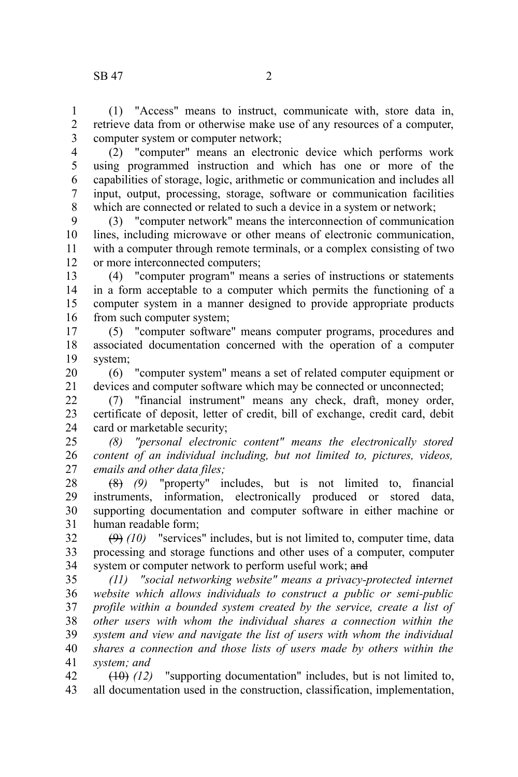(1) "Access" means to instruct, communicate with, store data in, retrieve data from or otherwise make use of any resources of a computer, computer system or computer network; 1 2 3

(2) "computer" means an electronic device which performs work using programmed instruction and which has one or more of the capabilities of storage, logic, arithmetic or communication and includes all input, output, processing, storage, software or communication facilities which are connected or related to such a device in a system or network; 4 5 6 7 8

(3) "computer network" means the interconnection of communication lines, including microwave or other means of electronic communication, with a computer through remote terminals, or a complex consisting of two or more interconnected computers;  $\mathbf{Q}$ 10 11 12

(4) "computer program" means a series of instructions or statements in a form acceptable to a computer which permits the functioning of a computer system in a manner designed to provide appropriate products from such computer system; 13 14 15 16

(5) "computer software" means computer programs, procedures and associated documentation concerned with the operation of a computer system; 17 18 19

(6) "computer system" means a set of related computer equipment or devices and computer software which may be connected or unconnected; 20 21

(7) "financial instrument" means any check, draft, money order, certificate of deposit, letter of credit, bill of exchange, credit card, debit card or marketable security;  $22$ 23 24

*(8) "personal electronic content" means the electronically stored content of an individual including, but not limited to, pictures, videos, emails and other data files;* 25 26 27

(8) *(9)* "property" includes, but is not limited to, financial instruments, information, electronically produced or stored data, supporting documentation and computer software in either machine or human readable form; 28 29 30 31

(9) *(10)* "services" includes, but is not limited to, computer time, data processing and storage functions and other uses of a computer, computer system or computer network to perform useful work; and 32 33 34

*(11) "social networking website" means a privacy-protected internet website which allows individuals to construct a public or semi-public profile within a bounded system created by the service, create a list of other users with whom the individual shares a connection within the system and view and navigate the list of users with whom the individual shares a connection and those lists of users made by others within the system; and* 35 36 37 38 39 40 41

(10) *(12)* "supporting documentation" includes, but is not limited to, all documentation used in the construction, classification, implementation, 42 43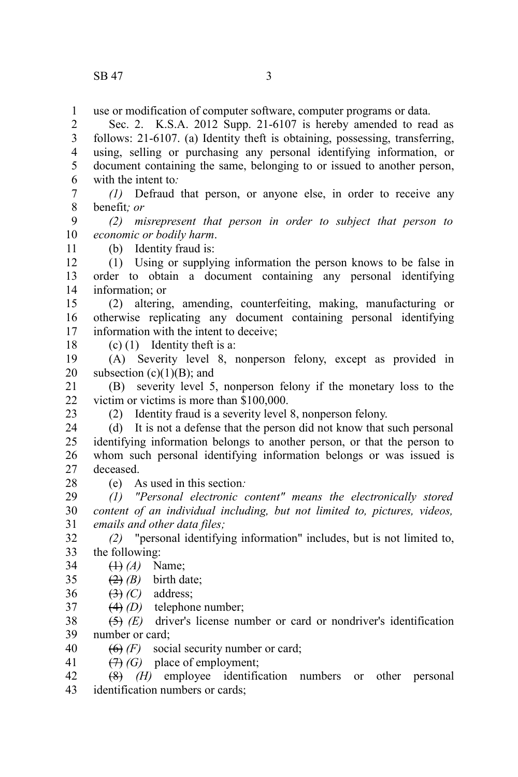use or modification of computer software, computer programs or data. 1

Sec. 2. K.S.A. 2012 Supp. 21-6107 is hereby amended to read as follows: 21-6107. (a) Identity theft is obtaining, possessing, transferring, using, selling or purchasing any personal identifying information, or document containing the same, belonging to or issued to another person, with the intent to*:* 2 3 4 5 6

*(1)* Defraud that person, or anyone else, in order to receive any benefit*; or* 7 8

*(2) misrepresent that person in order to subject that person to economic or bodily harm*. 9 10

11

(b) Identity fraud is:

(1) Using or supplying information the person knows to be false in order to obtain a document containing any personal identifying information; or 12 13 14

(2) altering, amending, counterfeiting, making, manufacturing or otherwise replicating any document containing personal identifying information with the intent to deceive; 15 16 17 18

 $(c)$  (1) Identity the ft is a:

(A) Severity level 8, nonperson felony, except as provided in subsection  $(c)(1)(B)$ ; and 19 20

(B) severity level 5, nonperson felony if the monetary loss to the victim or victims is more than \$100,000. 21  $22$ 

23

28

(2) Identity fraud is a severity level 8, nonperson felony.

(d) It is not a defense that the person did not know that such personal identifying information belongs to another person, or that the person to whom such personal identifying information belongs or was issued is deceased. 24 25 26 27

(e) As used in this section*:*

*(1) "Personal electronic content" means the electronically stored content of an individual including, but not limited to, pictures, videos, emails and other data files;* 29 30 31

*(2)* "personal identifying information" includes, but is not limited to, the following: 32 33

(1) *(A)* Name; 34

 $(2)$  *(B)* birth date; 35

- (3) *(C)* address; 36
- (4) *(D)* telephone number; 37

(5) *(E)* driver's license number or card or nondriver's identification number or card; 38 39

(6) *(F)* social security number or card; 40

(7) *(G)* place of employment; 41

(8) *(H)* employee identification numbers or other personal identification numbers or cards; 42 43